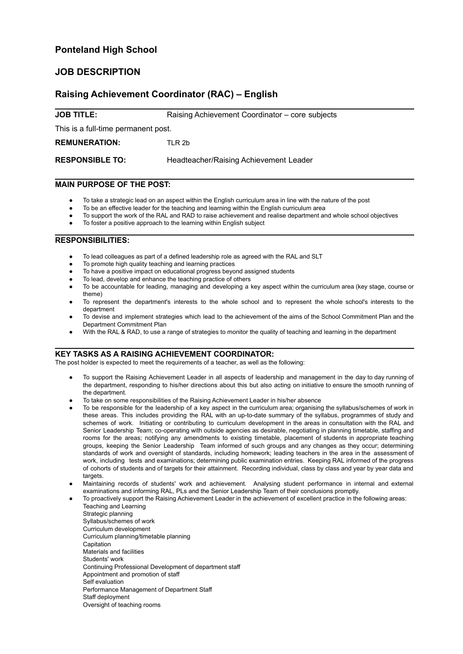# **Ponteland High School**

## **JOB DESCRIPTION**

## **Raising Achievement Coordinator (RAC) – English**

**JOB TITLE:** Raising Achievement Coordinator – core subjects

This is a full-time permanent post.

**REMUNERATION:** TLR 2b

**RESPONSIBLE TO:** Headteacher/Raising Achievement Leader

### **MAIN PURPOSE OF THE POST:**

- To take a strategic lead on an aspect within the English curriculum area in line with the nature of the post
- To be an effective leader for the teaching and learning within the English curriculum area
- To support the work of the RAL and RAD to raise achievement and realise department and whole school objectives
- To foster a positive approach to the learning within English subject

#### **RESPONSIBILITIES:**

- To lead colleagues as part of a defined leadership role as agreed with the RAL and SLT
- To promote high quality teaching and learning practices
- To have a positive impact on educational progress beyond assigned students
- To lead, develop and enhance the teaching practice of others
- To be accountable for leading, managing and developing a key aspect within the curriculum area (key stage, course or theme)
- To represent the department's interests to the whole school and to represent the whole school's interests to the department
- To devise and implement strategies which lead to the achievement of the aims of the School Commitment Plan and the Department Commitment Plan
- With the RAL & RAD, to use a range of strategies to monitor the quality of teaching and learning in the department

#### **KEY TASKS AS A RAISING ACHIEVEMENT COORDINATOR:**

The post holder is expected to meet the requirements of a teacher, as well as the following:

- To support the Raising Achievement Leader in all aspects of leadership and management in the day to day running of the department, responding to his/her directions about this but also acting on initiative to ensure the smooth running of the department.
- To take on some responsibilities of the Raising Achievement Leader in his/her absence
- To be responsible for the leadership of a key aspect in the curriculum area; organising the syllabus/schemes of work in these areas. This includes providing the RAL with an up-to-date summary of the syllabus, programmes of study and schemes of work. Initiating or contributing to curriculum development in the areas in consultation with the RAL and Senior Leadership Team; co-operating with outside agencies as desirable, negotiating in planning timetable, staffing and rooms for the areas; notifying any amendments to existing timetable, placement of students in appropriate teaching groups, keeping the Senior Leadership Team informed of such groups and any changes as they occur; determining standards of work and oversight of standards, including homework; leading teachers in the area in the assessment of work, including tests and examinations; determining public examination entries. Keeping RAL informed of the progress of cohorts of students and of targets for their attainment. Recording individual, class by class and year by year data and targets
- Maintaining records of students' work and achievement. Analysing student performance in internal and external examinations and informing RAL, PLs and the Senior Leadership Team of their conclusions promptly.
- To proactively support the Raising Achievement Leader in the achievement of excellent practice in the following areas: Teaching and Learning
	- Strategic planning Syllabus/schemes of work Curriculum development Curriculum planning/timetable planning Capitation Materials and facilities Students' work Continuing Professional Development of department staff Appointment and promotion of staff Self evaluation Performance Management of Department Staff Staff deployment Oversight of teaching rooms